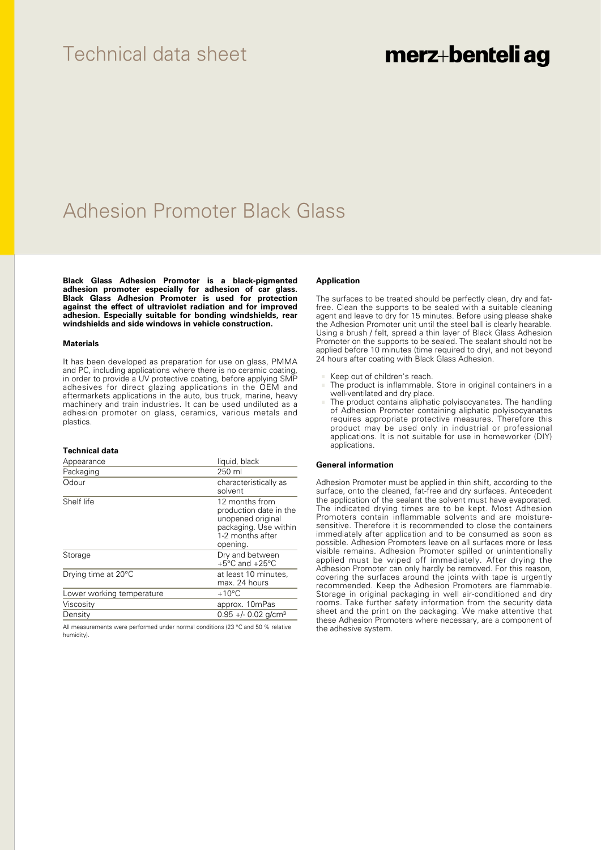# Technical data sheet

# merz+benteli ag

# Adhesion Promoter Black Glass

**Black Glass Adhesion Promoter is a black-pigmented adhesion promoter especially for adhesion of car glass. Black Glass Adhesion Promoter is used for protection against the effect of ultraviolet radiation and for improved adhesion. Especially suitable for bonding windshields, rear windshields and side windows in vehicle construction.**

### **Materials**

It has been developed as preparation for use on glass, PMMA and PC, including applications where there is no ceramic coating, in order to provide a UV protective coating, before applying SMP adhesives for direct glazing applications in the OEM and aftermarkets applications in the auto, bus truck, marine, heavy machinery and train industries. It can be used undiluted as a adhesion promoter on glass, ceramics, various metals and plastics.

### **Technical data**

| Appearance                | liquid, black                                                                                                          |
|---------------------------|------------------------------------------------------------------------------------------------------------------------|
| Packaging                 | 250 ml                                                                                                                 |
| Odour                     | characteristically as<br>solvent                                                                                       |
| Shelf life                | 12 months from<br>production date in the<br>unopened original<br>packaging. Use within<br>1-2 months after<br>opening. |
| Storage                   | Dry and between<br>$+5^{\circ}$ C and $+25^{\circ}$ C                                                                  |
| Drying time at 20°C       | at least 10 minutes,<br>max. 24 hours                                                                                  |
| Lower working temperature | $+10^{\circ}$ C                                                                                                        |
| Viscosity                 | approx. 10mPas                                                                                                         |
| Density                   | $0.95 +/- 0.02$ g/cm <sup>3</sup>                                                                                      |

All measurements were performed under normal conditions (23 °C and 50 % relative humidity).

### **Application**

The surfaces to be treated should be perfectly clean, dry and fatfree. Clean the supports to be sealed with a suitable cleaning agent and leave to dry for 15 minutes. Before using please shake the Adhesion Promoter unit until the steel ball is clearly hearable. Using a brush / felt, spread a thin layer of Black Glass Adhesion Promoter on the supports to be sealed. The sealant should not be applied before 10 minutes (time required to dry), and not beyond 24 hours after coating with Black Glass Adhesion.

- Keep out of children's reach.
- The product is inflammable. Store in original containers in a well-ventilated and dry place.
- The product contains aliphatic polyisocyanates. The handling of Adhesion Promoter containing aliphatic polyisocyanates requires appropriate protective measures. Therefore this product may be used only in industrial or professional applications. It is not suitable for use in homeworker (DIY) applications.

#### **General information**

Adhesion Promoter must be applied in thin shift, according to the surface, onto the cleaned, fat-free and dry surfaces. Antecedent the application of the sealant the solvent must have evaporated. The indicated drying times are to be kept. Most Adhesion Promoters contain inflammable solvents and are moisturesensitive. Therefore it is recommended to close the containers immediately after application and to be consumed as soon as possible. Adhesion Promoters leave on all surfaces more or less visible remains. Adhesion Promoter spilled or unintentionally applied must be wiped off immediately. After drying the Adhesion Promoter can only hardly be removed. For this reason, covering the surfaces around the joints with tape is urgently recommended. Keep the Adhesion Promoters are flammable. Storage in original packaging in well air-conditioned and dry rooms. Take further safety information from the security data sheet and the print on the packaging. We make attentive that these Adhesion Promoters where necessary, are a component of the adhesive system.